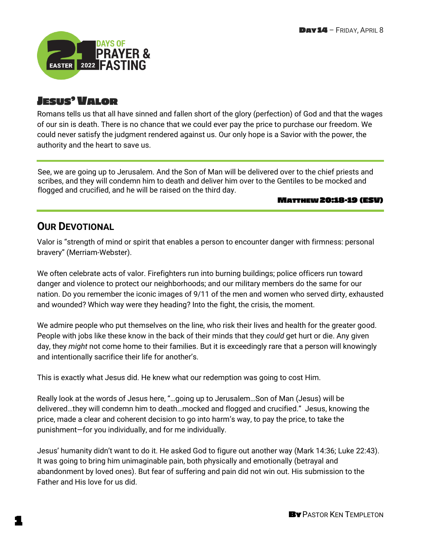

# JESUS'VALOR

Romans tells us that all have sinned and fallen short of the glory (perfection) of God and that the wages of our sin is death. There is no chance that we could ever pay the price to purchase our freedom. We could never satisfy the judgment rendered against us. Our only hope is a Savior with the power, the authority and the heart to save us.

See, we are going up to Jerusalem. And the Son of Man will be delivered over to the chief priests and scribes, and they will condemn him to death and deliver him over to the Gentiles to be mocked and flogged and crucified, and he will be raised on the third day.

#### MATTHEW 20:18-19 (ESV)

# **OUR DEVOTIONAL**

Valor is "strength of mind or spirit that enables a person to encounter danger with firmness: personal bravery" (Merriam-Webster).

We often celebrate acts of valor. Firefighters run into burning buildings; police officers run toward danger and violence to protect our neighborhoods; and our military members do the same for our nation. Do you remember the iconic images of 9/11 of the men and women who served dirty, exhausted and wounded? Which way were they heading? Into the fight, the crisis, the moment.

We admire people who put themselves on the line, who risk their lives and health for the greater good. People with jobs like these know in the back of their minds that they *could* get hurt or die. Any given day, they *might* not come home to their families. But it is exceedingly rare that a person will knowingly and intentionally sacrifice their life for another's.

This is exactly what Jesus did. He knew what our redemption was going to cost Him.

Really look at the words of Jesus here, "…going up to Jerusalem…Son of Man (Jesus) will be delivered…they will condemn him to death…mocked and flogged and crucified." Jesus, knowing the price, made a clear and coherent decision to go into harm's way, to pay the price, to take the punishment—for you individually, and for me individually.

Jesus' humanity didn't want to do it. He asked God to figure out another way (Mark 14:36; Luke 22:43). It was going to bring him unimaginable pain, both physically and emotionally (betrayal and abandonment by loved ones). But fear of suffering and pain did not win out. His submission to the Father and His love for us did.